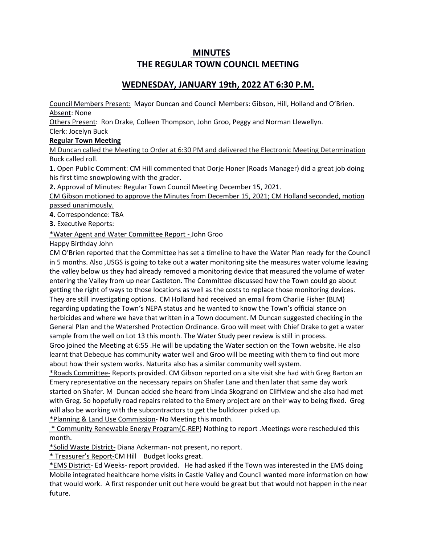# **MINUTES THE REGULAR TOWN COUNCIL MEETING**

## **WEDNESDAY, JANUARY 19th, 2022 AT 6:30 P.M.**

Council Members Present: Mayor Duncan and Council Members: Gibson, Hill, Holland and O'Brien. Absent: None

Others Present: Ron Drake, Colleen Thompson, John Groo, Peggy and Norman Llewellyn. Clerk: Jocelyn Buck

### **Regular Town Meeting**

M Duncan called the Meeting to Order at 6:30 PM and delivered the Electronic Meeting Determination Buck called roll.

**1.** Open Public Comment: CM Hill commented that Dorje Honer (Roads Manager) did a great job doing his first time snowplowing with the grader.

**2.** Approval of Minutes: Regular Town Council Meeting December 15, 2021.

CM Gibson motioned to approve the Minutes from December 15, 2021; CM Holland seconded, motion passed unanimously.

**4.** Correspondence: TBA

**3.** Executive Reports:

\*Water Agent and Water Committee Report - John Groo

Happy Birthday John

CM O'Brien reported that the Committee has set a timeline to have the Water Plan ready for the Council in 5 months. Also ,USGS is going to take out a water monitoring site the measures water volume leaving the valley below us they had already removed a monitoring device that measured the volume of water entering the Valley from up near Castleton. The Committee discussed how the Town could go about getting the right of ways to those locations as well as the costs to replace those monitoring devices. They are still investigating options. CM Holland had received an email from Charlie Fisher (BLM) regarding updating the Town's NEPA status and he wanted to know the Town's official stance on herbicides and where we have that written in a Town document. M Duncan suggested checking in the General Plan and the Watershed Protection Ordinance. Groo will meet with Chief Drake to get a water sample from the well on Lot 13 this month. The Water Study peer review is still in process.

Groo joined the Meeting at 6:55 .He will be updating the Water section on the Town website. He also learnt that Debeque has community water well and Groo will be meeting with them to find out more about how their system works. Naturita also has a similar community well system.

\*Roads Committee- Reports provided. CM Gibson reported on a site visit she had with Greg Barton an Emery representative on the necessary repairs on Shafer Lane and then later that same day work started on Shafer. M Duncan added she heard from Linda Skogrand on Cliffview and she also had met with Greg. So hopefully road repairs related to the Emery project are on their way to being fixed. Greg will also be working with the subcontractors to get the bulldozer picked up.

\*Planning & Land Use Commission- No Meeting this month.

\* Community Renewable Energy Program(C-REP) Nothing to report .Meetings were rescheduled this month.

\*Solid Waste District- Diana Ackerman- not present, no report.

\* Treasurer's Report-CM Hill Budget looks great.

\*EMS District- Ed Weeks- report provided. He had asked if the Town was interested in the EMS doing Mobile integrated healthcare home visits in Castle Valley and Council wanted more information on how that would work. A first responder unit out here would be great but that would not happen in the near future.